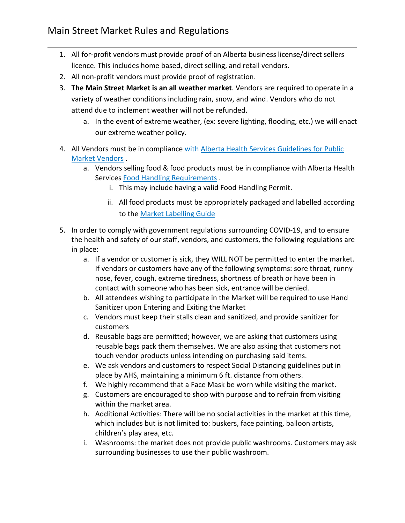- 1. All for-profit vendors must provide proof of an Alberta business license/direct sellers licence. This includes home based, direct selling, and retail vendors.
- 2. All non-profit vendors must provide proof of registration.
- 3. **The Main Street Market is an all weather market**. Vendors are required to operate in a variety of weather conditions including rain, snow, and wind. Vendors who do not attend due to inclement weather will not be refunded.
	- a. In the event of extreme weather, (ex: severe lighting, flooding, etc.) we will enact our extreme weather policy.
- 4. All Vendors must be in compliance with Alberta Health Services Guidelines for Public [Market Vendors](https://www.albertahealthservices.ca/assets/wf/eph/wf-eh-guidelines-for-public-market-managers-and-vendors.pdf) .
	- a. Vendors selling food & food products must be in compliance with Alberta Health Services [Food Handling Requirements](http://www.albertahealthservices.ca/assets/wf/eph/wf-eh-alberta-food-safety-basics-booklet.pdf).
		- i. This may include having a valid Food Handling Permit.
		- ii. All food products must be appropriately packaged and labelled according to the [Market Labelling Guide](http://www1.agric.gov.ab.ca/$Department/deptdocs.nsf/all/explore13545/$FILE/Appendix7BasicAndAllergenLabellingQuickGuide.pdf)
- 5. In order to comply with government regulations surrounding COVID-19, and to ensure the health and safety of our staff, vendors, and customers, the following regulations are in place:
	- a. If a vendor or customer is sick, they WILL NOT be permitted to enter the market. If vendors or customers have any of the following symptoms: sore throat, runny nose, fever, cough, extreme tiredness, shortness of breath or have been in contact with someone who has been sick, entrance will be denied.
	- b. All attendees wishing to participate in the Market will be required to use Hand Sanitizer upon Entering and Exiting the Market
	- c. Vendors must keep their stalls clean and sanitized, and provide sanitizer for customers
	- d. Reusable bags are permitted; however, we are asking that customers using reusable bags pack them themselves. We are also asking that customers not touch vendor products unless intending on purchasing said items.
	- e. We ask vendors and customers to respect Social Distancing guidelines put in place by AHS, maintaining a minimum 6 ft. distance from others.
	- f. We highly recommend that a Face Mask be worn while visiting the market.
	- g. Customers are encouraged to shop with purpose and to refrain from visiting within the market area.
	- h. Additional Activities: There will be no social activities in the market at this time, which includes but is not limited to: buskers, face painting, balloon artists, children's play area, etc.
	- i. Washrooms: the market does not provide public washrooms. Customers may ask surrounding businesses to use their public washroom.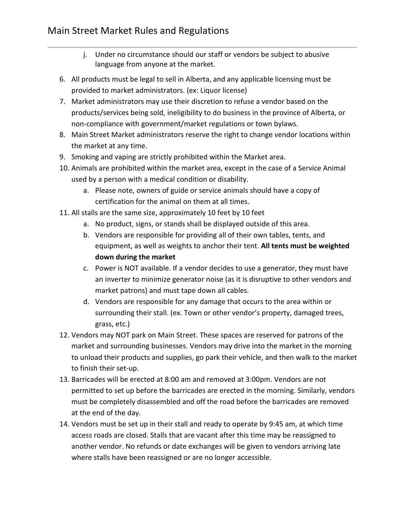- j. Under no circumstance should our staff or vendors be subject to abusive language from anyone at the market.
- 6. All products must be legal to sell in Alberta, and any applicable licensing must be provided to market administrators. (ex: Liquor license)
- 7. Market administrators may use their discretion to refuse a vendor based on the products/services being sold, ineligibility to do business in the province of Alberta, or non-compliance with government/market regulations or town bylaws.
- 8. Main Street Market administrators reserve the right to change vendor locations within the market at any time.
- 9. Smoking and vaping are strictly prohibited within the Market area.
- 10. Animals are prohibited within the market area, except in the case of a Service Animal used by a person with a medical condition or disability.
	- a. Please note, owners of guide or service animals should have a copy of certification for the animal on them at all times.
- 11. All stalls are the same size, approximately 10 feet by 10 feet
	- a. No product, signs, or stands shall be displayed outside of this area.
	- b. Vendors are responsible for providing all of their own tables, tents, and equipment, as well as weights to anchor their tent. **All tents must be weighted down during the market**
	- c. Power is NOT available. If a vendor decides to use a generator, they must have an inverter to minimize generator noise (as it is disruptive to other vendors and market patrons) and must tape down all cables.
	- d. Vendors are responsible for any damage that occurs to the area within or surrounding their stall. (ex. Town or other vendor's property, damaged trees, grass, etc.)
- 12. Vendors may NOT park on Main Street. These spaces are reserved for patrons of the market and surrounding businesses. Vendors may drive into the market in the morning to unload their products and supplies, go park their vehicle, and then walk to the market to finish their set-up.
- 13. Barricades will be erected at 8:00 am and removed at 3:00pm. Vendors are not permitted to set up before the barricades are erected in the morning. Similarly, vendors must be completely disassembled and off the road before the barricades are removed at the end of the day.
- 14. Vendors must be set up in their stall and ready to operate by 9:45 am, at which time access roads are closed. Stalls that are vacant after this time may be reassigned to another vendor. No refunds or date exchanges will be given to vendors arriving late where stalls have been reassigned or are no longer accessible.